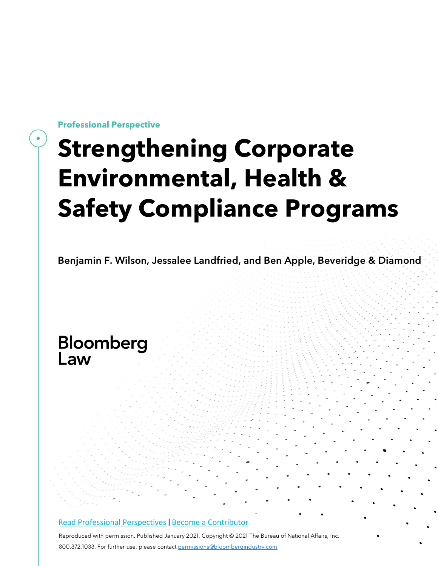**Professional Perspective**

# **Strengthening Corporate Environmental, Health & Safety Compliance Programs**

Benjamin F. Wilson, Jessalee Landfried, and Ben Apple, Beveridge & Diamond

# Bloomberg Law

#### Read Professional [Perspectives](https://www.bloomberglaw.com/product/blaw/search/results/fce5c55b80fd6db95984633eb48fa7d5?utm_source=ACQ&utm_medium=PRP) [|](https://www.bloomberglaw.com/product/blaw/search/results/fce5c55b80fd6db95984633eb48fa7d5?utm_source=ACQ&utm_medium=PRP) Become a [Contributor](https://pro.bloomberglaw.com/become-a-contributor/?utm_source=ACQ&utm_medium=PRP)

Reproduced with permission. Published January 2021. Copyright © 2021 The Bureau of National Affairs, Inc. 800.372.1033. For further use, please contact [permissions@bloombergindustry.com](mailto:permissions@bloombergindustry.com)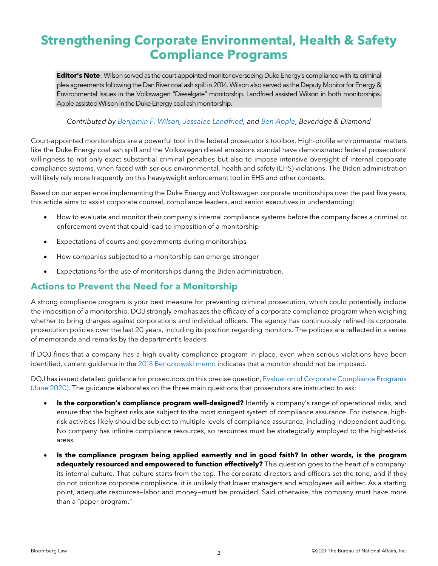# **Strengthening Corporate Environmental, Health & Safety Compliance Programs**

**Editor's Note**: Wilson served as the court-appointed monitor overseeing Duke Energy's compliance with its criminal plea agreements following the Dan River coal ash spill in 2014. Wilson also served as the Deputy Monitor for Energy & Environmental Issues in the Volkswagen "Dieselgate" monitorship. Landfried assisted Wilson in both monitorships. Apple assisted Wilson in the Duke Energy coal ash monitorship.

#### *Contributed by [Benjamin](https://www.bdlaw.com/benjamin-f-wilson/) F. Wilson, Jessalee [Landfried,](https://www.bdlaw.com/jessalee-l-landfried/) and Ben [Apple,](https://www.bdlaw.com/benjamin-e-apple/) Beveridge & Diamond*

Court-appointed monitorships are a powerful tool in the federal prosecutor's toolbox. High-profile environmental matters like the Duke Energy coal ash spill and the Volkswagen diesel emissions scandal have demonstrated federal prosecutors' willingness to not only exact substantial criminal penalties but also to impose intensive oversight of internal corporate compliance systems, when faced with serious environmental, health and safety (EHS) violations. The Biden administration will likely rely more frequently on this heavyweight enforcement tool in EHS and other contexts.

Based on our experience implementing the Duke Energy and Volkswagen corporate monitorships over the past five years, this article aims to assist corporate counsel, compliance leaders, and senior executives in understanding:

- How to evaluate and monitor their company's internal compliance systems before the company faces a criminal or enforcement event that could lead to imposition of a monitorship
- Expectations of courts and governments during monitorships
- How companies subjected to a monitorship can emerge stronger
- Expectations for the use of monitorships during the Biden administration.

### **Actions to Prevent the Need for a Monitorship**

A strong compliance program is your best measure for preventing criminal prosecution, which could potentially include the imposition of a monitorship. DOJ strongly emphasizes the efficacy of a corporate compliance program when weighing whether to bring charges against corporations and individual officers. The agency has continuously refined its corporate prosecution policies over the last 20 years, including its position regarding monitors. The policies are reflected in a series of memoranda and remarks by the department's leaders.

If DOJ finds that a company has a high-quality compliance program in place, even when serious violations have been identified, current guidance in the 2018 [Benczkowski](https://www.justice.gov/opa/speech/file/1100531/download) memo indicates that a monitor should not be imposed.

DOJ has issued detailed guidance for prosecutors on this precise question, Evaluation of Corporate [Compliance](https://www.justice.gov/criminal-fraud/page/file/937501/download) Programs (June [2020\).](https://www.justice.gov/criminal-fraud/page/file/937501/download) The guidance elaborates on the three main questions that prosecutors are instructed to ask:

- **Is the corporation's compliance program well-designed?** Identify a company's range of operational risks, and ensure that the highest risks are subject to the most stringent system of compliance assurance. For instance, highrisk activities likely should be subject to multiple levels of compliance assurance, including independent auditing. No company has infinite compliance resources, so resources must be strategically employed to the highest-risk areas.
- **Is the compliance program being applied earnestly and in good faith? In other words, is the program adequately resourced and empowered to function effectively?** This question goes to the heart of a company: its internal culture. That culture starts from the top. The corporate directors and officers set the tone, and if they do not prioritize corporate compliance, it is unlikely that lower managers and employees will either. As a starting point, adequate resources—labor and money—must be provided. Said otherwise, the company must have more than a "paper program."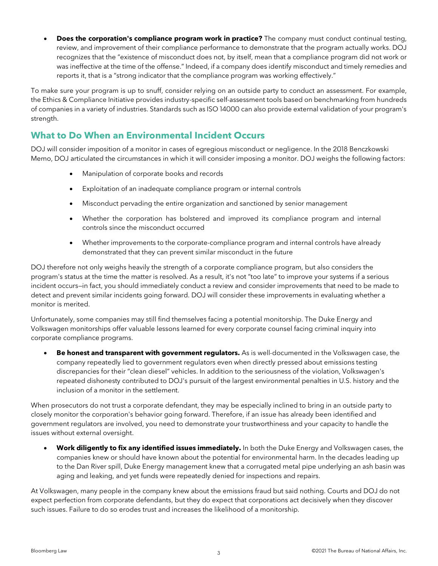• **Does the corporation's compliance program work in practice?** The company must conduct continual testing, review, and improvement of their compliance performance to demonstrate that the program actually works. DOJ recognizes that the "existence of misconduct does not, by itself, mean that a compliance program did not work or was ineffective at the time of the offense." Indeed, if a company does identify misconduct and timely remedies and reports it, that is a "strong indicator that the compliance program was working effectively."

To make sure your program is up to snuff, consider relying on an outside party to conduct an assessment. For example, the Ethics & Compliance Initiative provides industry-specific self-assessment tools based on benchmarking from hundreds of companies in a variety of industries. Standards such as ISO 14000 can also provide external validation of your program's strength.

## **What to Do When an Environmental Incident Occurs**

DOJ will consider imposition of a monitor in cases of egregious misconduct or negligence. In the 2018 Benczkowski Memo, DOJ articulated the circumstances in which it will consider imposing a monitor. DOJ weighs the following factors:

- Manipulation of corporate books and records
- Exploitation of an inadequate compliance program or internal controls
- Misconduct pervading the entire organization and sanctioned by senior management
- Whether the corporation has bolstered and improved its compliance program and internal controls since the misconduct occurred
- Whether improvements to the corporate-compliance program and internal controls have already demonstrated that they can prevent similar misconduct in the future

DOJ therefore not only weighs heavily the strength of a corporate compliance program, but also considers the program's status at the time the matter is resolved. As a result, it's not "too late" to improve your systems if a serious incident occurs—in fact, you should immediately conduct a review and consider improvements that need to be made to detect and prevent similar incidents going forward. DOJ will consider these improvements in evaluating whether a monitor is merited.

Unfortunately, some companies may still find themselves facing a potential monitorship. The Duke Energy and Volkswagen monitorships offer valuable lessons learned for every corporate counsel facing criminal inquiry into corporate compliance programs.

• **Be honest and transparent with government regulators.** As is well-documented in the Volkswagen case, the company repeatedly lied to government regulators even when directly pressed about emissions testing discrepancies for their "clean diesel" vehicles. In addition to the seriousness of the violation, Volkswagen's repeated dishonesty contributed to DOJ's pursuit of the largest environmental penalties in U.S. history and the inclusion of a monitor in the settlement.

When prosecutors do not trust a corporate defendant, they may be especially inclined to bring in an outside party to closely monitor the corporation's behavior going forward. Therefore, if an issue has already been identified and government regulators are involved, you need to demonstrate your trustworthiness and your capacity to handle the issues without external oversight.

• **Work diligently to fix any identified issues immediately.** In both the Duke Energy and Volkswagen cases, the companies knew or should have known about the potential for environmental harm. In the decades leading up to the Dan River spill, Duke Energy management knew that a corrugated metal pipe underlying an ash basin was aging and leaking, and yet funds were repeatedly denied for inspections and repairs.

At Volkswagen, many people in the company knew about the emissions fraud but said nothing. Courts and DOJ do not expect perfection from corporate defendants, but they do expect that corporations act decisively when they discover such issues. Failure to do so erodes trust and increases the likelihood of a monitorship.